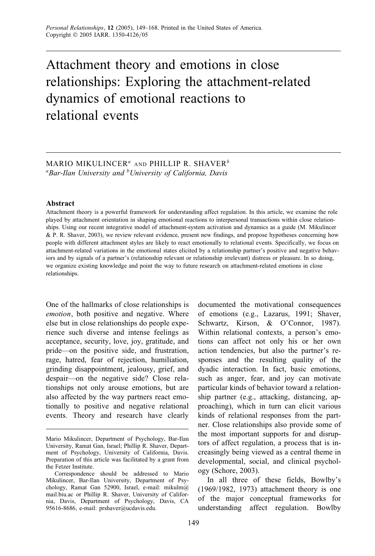# Attachment theory and emotions in close relationships: Exploring the attachment-related dynamics of emotional reactions to relational events

MARIO MIKULINCER<sup>a</sup> AND PHILLIP R. SHAVER<sup>b</sup> <sup>a</sup>Bar-Ilan University and <sup>b</sup>University of California, Davis

#### Abstract

Attachment theory is a powerful framework for understanding affect regulation. In this article, we examine the role played by attachment orientation in shaping emotional reactions to interpersonal transactions within close relationships. Using our recent integrative model of attachment-system activation and dynamics as a guide (M. Mikulincer & P. R. Shaver, 2003), we review relevant evidence, present new findings, and propose hypotheses concerning how people with different attachment styles are likely to react emotionally to relational events. Specifically, we focus on attachment-related variations in the emotional states elicited by a relationship partner's positive and negative behaviors and by signals of a partner's (relationship relevant or relationship irrelevant) distress or pleasure. In so doing, we organize existing knowledge and point the way to future research on attachment-related emotions in close relationships.

One of the hallmarks of close relationships is emotion, both positive and negative. Where else but in close relationships do people experience such diverse and intense feelings as acceptance, security, love, joy, gratitude, and pride—on the positive side, and frustration, rage, hatred, fear of rejection, humiliation, grinding disappointment, jealousy, grief, and despair—on the negative side? Close relationships not only arouse emotions, but are also affected by the way partners react emotionally to positive and negative relational events. Theory and research have clearly documented the motivational consequences of emotions (e.g., Lazarus, 1991; Shaver, Schwartz, Kirson, & O'Connor, 1987). Within relational contexts, a person's emotions can affect not only his or her own action tendencies, but also the partner's responses and the resulting quality of the dyadic interaction. In fact, basic emotions, such as anger, fear, and joy can motivate particular kinds of behavior toward a relationship partner (e.g., attacking, distancing, approaching), which in turn can elicit various kinds of relational responses from the partner. Close relationships also provide some of the most important supports for and disruptors of affect regulation, a process that is increasingly being viewed as a central theme in developmental, social, and clinical psychology (Schore, 2003).

In all three of these fields, Bowlby's (1969/1982, 1973) attachment theory is one of the major conceptual frameworks for understanding affect regulation. Bowlby

Mario Mikulincer, Department of Psychology, Bar-Ilan University, Ramat Gan, Israel; Phillip R. Shaver, Department of Psychology, University of California, Davis. Preparation of this article was facilitated by a grant from the Fetzer Institute.

Correspondence should be addressed to Mario Mikulincer, Bar-Ilan University, Department of Psychology, Ramat Gan 52900, Israel, e-mail: mikulm@ mail.biu.ac or Phillip R. Shaver, University of California, Davis, Department of Psychology, Davis, CA 95616-8686, e-mail: prshaver@ucdavis.edu.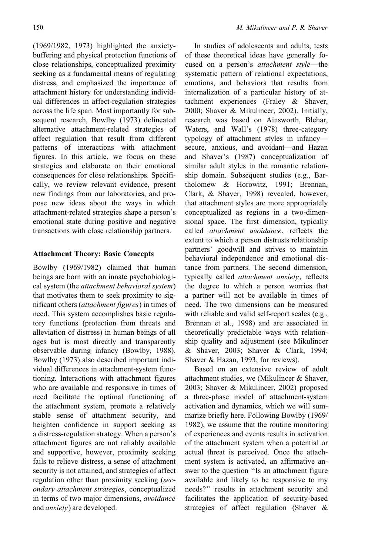(1969/1982, 1973) highlighted the anxietybuffering and physical protection functions of close relationships, conceptualized proximity seeking as a fundamental means of regulating distress, and emphasized the importance of attachment history for understanding individual differences in affect-regulation strategies across the life span. Most importantly for subsequent research, Bowlby (1973) delineated alternative attachment-related strategies of affect regulation that result from different patterns of interactions with attachment figures. In this article, we focus on these strategies and elaborate on their emotional consequences for close relationships. Specifically, we review relevant evidence, present new findings from our laboratories, and propose new ideas about the ways in which attachment-related strategies shape a person's emotional state during positive and negative transactions with close relationship partners.

#### Attachment Theory: Basic Concepts

Bowlby (1969/1982) claimed that human beings are born with an innate psychobiological system (the attachment behavioral system) that motivates them to seek proximity to significant others (attachment figures) in times of need. This system accomplishes basic regulatory functions (protection from threats and alleviation of distress) in human beings of all ages but is most directly and transparently observable during infancy (Bowlby, 1988). Bowlby (1973) also described important individual differences in attachment-system functioning. Interactions with attachment figures who are available and responsive in times of need facilitate the optimal functioning of the attachment system, promote a relatively stable sense of attachment security, and heighten confidence in support seeking as a distress-regulation strategy. When a person's attachment figures are not reliably available and supportive, however, proximity seeking fails to relieve distress, a sense of attachment security is not attained, and strategies of affect regulation other than proximity seeking (secondary attachment strategies, conceptualized in terms of two major dimensions, avoidance and anxiety) are developed.

In studies of adolescents and adults, tests of these theoretical ideas have generally focused on a person's attachment style—the systematic pattern of relational expectations, emotions, and behaviors that results from internalization of a particular history of attachment experiences (Fraley & Shaver, 2000; Shaver & Mikulincer, 2002). Initially, research was based on Ainsworth, Blehar, Waters, and Wall's (1978) three-category typology of attachment styles in infancy secure, anxious, and avoidant—and Hazan and Shaver's (1987) conceptualization of similar adult styles in the romantic relationship domain. Subsequent studies (e.g., Bartholomew & Horowitz, 1991; Brennan, Clark, & Shaver, 1998) revealed, however, that attachment styles are more appropriately conceptualized as regions in a two-dimensional space. The first dimension, typically called attachment avoidance, reflects the extent to which a person distrusts relationship partners' goodwill and strives to maintain behavioral independence and emotional distance from partners. The second dimension, typically called attachment anxiety, reflects the degree to which a person worries that a partner will not be available in times of need. The two dimensions can be measured with reliable and valid self-report scales (e.g., Brennan et al., 1998) and are associated in theoretically predictable ways with relationship quality and adjustment (see Mikulincer & Shaver, 2003; Shaver & Clark, 1994; Shaver & Hazan, 1993, for reviews).

Based on an extensive review of adult attachment studies, we (Mikulincer & Shaver, 2003; Shaver & Mikulincer, 2002) proposed a three-phase model of attachment-system activation and dynamics, which we will summarize briefly here. Following Bowlby (1969/ 1982), we assume that the routine monitoring of experiences and events results in activation of the attachment system when a potential or actual threat is perceived. Once the attachment system is activated, an affirmative answer to the question ''Is an attachment figure available and likely to be responsive to my needs?'' results in attachment security and facilitates the application of security-based strategies of affect regulation (Shaver &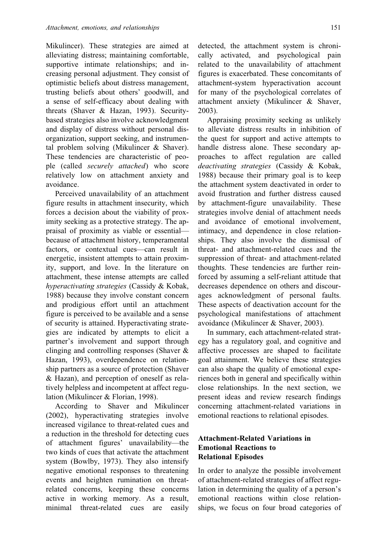Mikulincer). These strategies are aimed at alleviating distress; maintaining comfortable, supportive intimate relationships; and increasing personal adjustment. They consist of optimistic beliefs about distress management, trusting beliefs about others' goodwill, and a sense of self-efficacy about dealing with threats (Shaver & Hazan, 1993). Securitybased strategies also involve acknowledgment and display of distress without personal disorganization, support seeking, and instrumental problem solving (Mikulincer & Shaver). These tendencies are characteristic of people (called securely attached) who score relatively low on attachment anxiety and avoidance.

Perceived unavailability of an attachment figure results in attachment insecurity, which forces a decision about the viability of proximity seeking as a protective strategy. The appraisal of proximity as viable or essential because of attachment history, temperamental factors, or contextual cues—can result in energetic, insistent attempts to attain proximity, support, and love. In the literature on attachment, these intense attempts are called hyperactivating strategies (Cassidy & Kobak, 1988) because they involve constant concern and prodigious effort until an attachment figure is perceived to be available and a sense of security is attained. Hyperactivating strategies are indicated by attempts to elicit a partner's involvement and support through clinging and controlling responses (Shaver & Hazan, 1993), overdependence on relationship partners as a source of protection (Shaver & Hazan), and perception of oneself as relatively helpless and incompetent at affect regulation (Mikulincer & Florian, 1998).

According to Shaver and Mikulincer (2002), hyperactivating strategies involve increased vigilance to threat-related cues and a reduction in the threshold for detecting cues of attachment figures' unavailability—the two kinds of cues that activate the attachment system (Bowlby, 1973). They also intensify negative emotional responses to threatening events and heighten rumination on threatrelated concerns, keeping these concerns active in working memory. As a result, minimal threat-related cues are easily

detected, the attachment system is chronically activated, and psychological pain related to the unavailability of attachment figures is exacerbated. These concomitants of attachment-system hyperactivation account for many of the psychological correlates of attachment anxiety (Mikulincer & Shaver, 2003).

Appraising proximity seeking as unlikely to alleviate distress results in inhibition of the quest for support and active attempts to handle distress alone. These secondary approaches to affect regulation are called deactivating strategies (Cassidy & Kobak, 1988) because their primary goal is to keep the attachment system deactivated in order to avoid frustration and further distress caused by attachment-figure unavailability. These strategies involve denial of attachment needs and avoidance of emotional involvement, intimacy, and dependence in close relationships. They also involve the dismissal of threat- and attachment-related cues and the suppression of threat- and attachment-related thoughts. These tendencies are further reinforced by assuming a self-reliant attitude that decreases dependence on others and discourages acknowledgment of personal faults. These aspects of deactivation account for the psychological manifestations of attachment avoidance (Mikulincer & Shaver, 2003).

In summary, each attachment-related strategy has a regulatory goal, and cognitive and affective processes are shaped to facilitate goal attainment. We believe these strategies can also shape the quality of emotional experiences both in general and specifically within close relationships. In the next section, we present ideas and review research findings concerning attachment-related variations in emotional reactions to relational episodes.

# Attachment-Related Variations in Emotional Reactions to Relational Episodes

In order to analyze the possible involvement of attachment-related strategies of affect regulation in determining the quality of a person's emotional reactions within close relationships, we focus on four broad categories of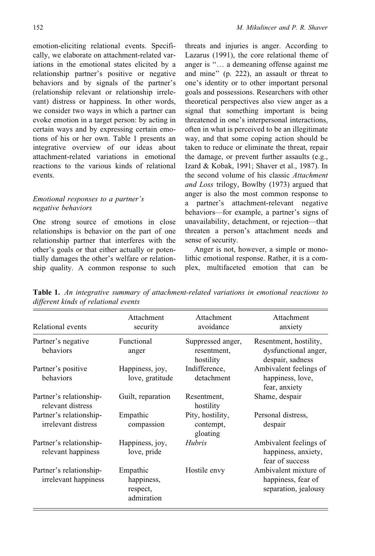emotion-eliciting relational events. Specifically, we elaborate on attachment-related variations in the emotional states elicited by a relationship partner's positive or negative behaviors and by signals of the partner's (relationship relevant or relationship irrelevant) distress or happiness. In other words, we consider two ways in which a partner can evoke emotion in a target person: by acting in certain ways and by expressing certain emotions of his or her own. Table 1 presents an integrative overview of our ideas about attachment-related variations in emotional reactions to the various kinds of relational events.

### Emotional responses to a partner's negative behaviors

One strong source of emotions in close relationships is behavior on the part of one relationship partner that interferes with the other's goals or that either actually or potentially damages the other's welfare or relationship quality. A common response to such threats and injuries is anger. According to Lazarus (1991), the core relational theme of anger is "... a demeaning offense against me and mine'' (p. 222), an assault or threat to one's identity or to other important personal goals and possessions. Researchers with other theoretical perspectives also view anger as a signal that something important is being threatened in one's interpersonal interactions, often in what is perceived to be an illegitimate way, and that some coping action should be taken to reduce or eliminate the threat, repair the damage, or prevent further assaults (e.g., Izard & Kobak, 1991; Shaver et al., 1987). In the second volume of his classic Attachment and Loss trilogy, Bowlby (1973) argued that anger is also the most common response to a partner's attachment-relevant negative behaviors—for example, a partner's signs of unavailability, detachment, or rejection—that threaten a person's attachment needs and sense of security.

Anger is not, however, a simple or monolithic emotional response. Rather, it is a complex, multifaceted emotion that can be

| Relational events                               | Attachment<br>security                           | Attachment<br>avoidance                       | Attachment<br>anxiety                                               |
|-------------------------------------------------|--------------------------------------------------|-----------------------------------------------|---------------------------------------------------------------------|
| Partner's negative<br>behaviors                 | Functional<br>anger                              | Suppressed anger,<br>resentment,<br>hostility | Resentment, hostility,<br>dysfunctional anger,<br>despair, sadness  |
| Partner's positive<br>behaviors                 | Happiness, joy,<br>love, gratitude               | Indifference,<br>detachment                   | Ambivalent feelings of<br>happiness, love,<br>fear, anxiety         |
| Partner's relationship-<br>relevant distress    | Guilt, reparation                                | Resentment.<br>hostility                      | Shame, despair                                                      |
| Partner's relationship-<br>irrelevant distress  | Empathic<br>compassion                           | Pity, hostility,<br>contempt,<br>gloating     | Personal distress,<br>despair                                       |
| Partner's relationship-<br>relevant happiness   | Happiness, joy,<br>love, pride                   | <i>Hubris</i>                                 | Ambivalent feelings of<br>happiness, anxiety,<br>fear of success    |
| Partner's relationship-<br>irrelevant happiness | Empathic<br>happiness,<br>respect,<br>admiration | Hostile envy                                  | Ambivalent mixture of<br>happiness, fear of<br>separation, jealousy |

Table 1. An integrative summary of attachment-related variations in emotional reactions to different kinds of relational events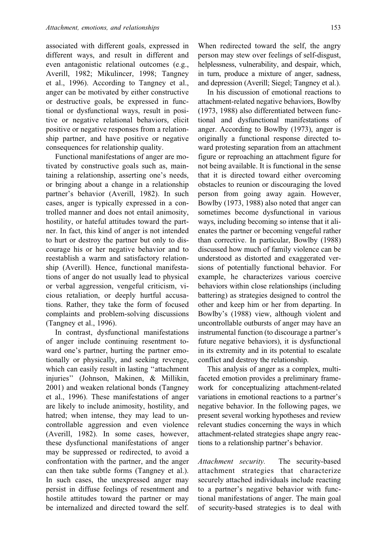associated with different goals, expressed in different ways, and result in different and even antagonistic relational outcomes (e.g., Averill, 1982; Mikulincer, 1998; Tangney et al., 1996). According to Tangney et al., anger can be motivated by either constructive or destructive goals, be expressed in functional or dysfunctional ways, result in positive or negative relational behaviors, elicit positive or negative responses from a relationship partner, and have positive or negative consequences for relationship quality.

Functional manifestations of anger are motivated by constructive goals such as, maintaining a relationship, asserting one's needs, or bringing about a change in a relationship partner's behavior (Averill, 1982). In such cases, anger is typically expressed in a controlled manner and does not entail animosity, hostility, or hateful attitudes toward the partner. In fact, this kind of anger is not intended to hurt or destroy the partner but only to discourage his or her negative behavior and to reestablish a warm and satisfactory relationship (Averill). Hence, functional manifestations of anger do not usually lead to physical or verbal aggression, vengeful criticism, vicious retaliation, or deeply hurtful accusations. Rather, they take the form of focused complaints and problem-solving discussions (Tangney et al., 1996).

In contrast, dysfunctional manifestations of anger include continuing resentment toward one's partner, hurting the partner emotionally or physically, and seeking revenge, which can easily result in lasting ''attachment injuries'' (Johnson, Makinen, & Millikin, 2001) and weaken relational bonds (Tangney et al., 1996). These manifestations of anger are likely to include animosity, hostility, and hatred; when intense, they may lead to uncontrollable aggression and even violence (Averill, 1982). In some cases, however, these dysfunctional manifestations of anger may be suppressed or redirected, to avoid a confrontation with the partner, and the anger can then take subtle forms (Tangney et al.). In such cases, the unexpressed anger may persist in diffuse feelings of resentment and hostile attitudes toward the partner or may be internalized and directed toward the self.

When redirected toward the self, the angry person may stew over feelings of self-disgust, helplessness, vulnerability, and despair, which, in turn, produce a mixture of anger, sadness, and depression (Averill; Siegel; Tangney et al.).

In his discussion of emotional reactions to attachment-related negative behaviors, Bowlby (1973, 1988) also differentiated between functional and dysfunctional manifestations of anger. According to Bowlby (1973), anger is originally a functional response directed toward protesting separation from an attachment figure or reproaching an attachment figure for not being available. It is functional in the sense that it is directed toward either overcoming obstacles to reunion or discouraging the loved person from going away again. However, Bowlby (1973, 1988) also noted that anger can sometimes become dysfunctional in various ways, including becoming so intense that it alienates the partner or becoming vengeful rather than corrective. In particular, Bowlby (1988) discussed how much of family violence can be understood as distorted and exaggerated versions of potentially functional behavior. For example, he characterizes various coercive behaviors within close relationships (including battering) as strategies designed to control the other and keep him or her from departing. In Bowlby's (1988) view, although violent and uncontrollable outbursts of anger may have an instrumental function (to discourage a partner's future negative behaviors), it is dysfunctional in its extremity and in its potential to escalate conflict and destroy the relationship.

This analysis of anger as a complex, multifaceted emotion provides a preliminary framework for conceptualizing attachment-related variations in emotional reactions to a partner's negative behavior. In the following pages, we present several working hypotheses and review relevant studies concerning the ways in which attachment-related strategies shape angry reactions to a relationship partner's behavior.

Attachment security. The security-based attachment strategies that characterize securely attached individuals include reacting to a partner's negative behavior with functional manifestations of anger. The main goal of security-based strategies is to deal with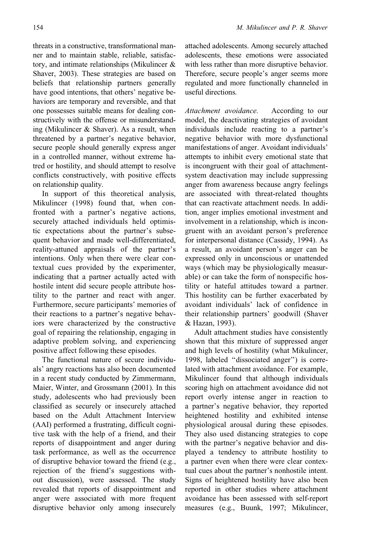threats in a constructive, transformational manner and to maintain stable, reliable, satisfactory, and intimate relationships (Mikulincer & Shaver, 2003). These strategies are based on beliefs that relationship partners generally have good intentions, that others' negative behaviors are temporary and reversible, and that one possesses suitable means for dealing constructively with the offense or misunderstanding (Mikulincer & Shaver). As a result, when threatened by a partner's negative behavior, secure people should generally express anger in a controlled manner, without extreme hatred or hostility, and should attempt to resolve conflicts constructively, with positive effects on relationship quality.

In support of this theoretical analysis, Mikulincer (1998) found that, when confronted with a partner's negative actions, securely attached individuals held optimistic expectations about the partner's subsequent behavior and made well-differentiated, reality-attuned appraisals of the partner's intentions. Only when there were clear contextual cues provided by the experimenter, indicating that a partner actually acted with hostile intent did secure people attribute hostility to the partner and react with anger. Furthermore, secure participants' memories of their reactions to a partner's negative behaviors were characterized by the constructive goal of repairing the relationship, engaging in adaptive problem solving, and experiencing positive affect following these episodes.

The functional nature of secure individuals' angry reactions has also been documented in a recent study conducted by Zimmermann, Maier, Winter, and Grossmann (2001). In this study, adolescents who had previously been classified as securely or insecurely attached based on the Adult Attachment Interview (AAI) performed a frustrating, difficult cognitive task with the help of a friend, and their reports of disappointment and anger during task performance, as well as the occurrence of disruptive behavior toward the friend (e.g., rejection of the friend's suggestions without discussion), were assessed. The study revealed that reports of disappointment and anger were associated with more frequent disruptive behavior only among insecurely attached adolescents. Among securely attached adolescents, these emotions were associated with less rather than more disruptive behavior. Therefore, secure people's anger seems more regulated and more functionally channeled in useful directions.

Attachment avoidance. According to our model, the deactivating strategies of avoidant individuals include reacting to a partner's negative behavior with more dysfunctional manifestations of anger. Avoidant individuals' attempts to inhibit every emotional state that is incongruent with their goal of attachmentsystem deactivation may include suppressing anger from awareness because angry feelings are associated with threat-related thoughts that can reactivate attachment needs. In addition, anger implies emotional investment and involvement in a relationship, which is incongruent with an avoidant person's preference for interpersonal distance (Cassidy, 1994). As a result, an avoidant person's anger can be expressed only in unconscious or unattended ways (which may be physiologically measurable) or can take the form of nonspecific hostility or hateful attitudes toward a partner. This hostility can be further exacerbated by avoidant individuals' lack of confidence in their relationship partners' goodwill (Shaver & Hazan, 1993).

Adult attachment studies have consistently shown that this mixture of suppressed anger and high levels of hostility (what Mikulincer, 1998, labeled ''dissociated anger'') is correlated with attachment avoidance. For example, Mikulincer found that although individuals scoring high on attachment avoidance did not report overly intense anger in reaction to a partner's negative behavior, they reported heightened hostility and exhibited intense physiological arousal during these episodes. They also used distancing strategies to cope with the partner's negative behavior and displayed a tendency to attribute hostility to a partner even when there were clear contextual cues about the partner's nonhostile intent. Signs of heightened hostility have also been reported in other studies where attachment avoidance has been assessed with self-report measures (e.g., Buunk, 1997; Mikulincer,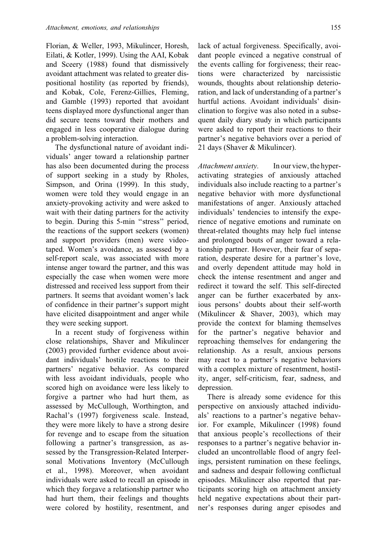Florian, & Weller, 1993, Mikulincer, Horesh, Eilati, & Kotler, 1999). Using the AAI, Kobak and Sceery (1988) found that dismissively avoidant attachment was related to greater dispositional hostility (as reported by friends), and Kobak, Cole, Ferenz-Gillies, Fleming, and Gamble (1993) reported that avoidant teens displayed more dysfunctional anger than did secure teens toward their mothers and engaged in less cooperative dialogue during a problem-solving interaction.

The dysfunctional nature of avoidant individuals' anger toward a relationship partner has also been documented during the process of support seeking in a study by Rholes, Simpson, and Orina (1999). In this study, women were told they would engage in an anxiety-provoking activity and were asked to wait with their dating partners for the activity to begin. During this 5-min ''stress'' period, the reactions of the support seekers (women) and support providers (men) were videotaped. Women's avoidance, as assessed by a self-report scale, was associated with more intense anger toward the partner, and this was especially the case when women were more distressed and received less support from their partners. It seems that avoidant women's lack of confidence in their partner's support might have elicited disappointment and anger while they were seeking support.

In a recent study of forgiveness within close relationships, Shaver and Mikulincer (2003) provided further evidence about avoidant individuals' hostile reactions to their partners' negative behavior. As compared with less avoidant individuals, people who scored high on avoidance were less likely to forgive a partner who had hurt them, as assessed by McCullough, Worthington, and Rachal's (1997) forgiveness scale. Instead, they were more likely to have a strong desire for revenge and to escape from the situation following a partner's transgression, as assessed by the Transgression-Related Interpersonal Motivations Inventory (McCullough et al., 1998). Moreover, when avoidant individuals were asked to recall an episode in which they forgave a relationship partner who had hurt them, their feelings and thoughts were colored by hostility, resentment, and lack of actual forgiveness. Specifically, avoidant people evinced a negative construal of the events calling for forgiveness; their reactions were characterized by narcissistic wounds, thoughts about relationship deterioration, and lack of understanding of a partner's hurtful actions. Avoidant individuals' disinclination to forgive was also noted in a subsequent daily diary study in which participants were asked to report their reactions to their partner's negative behaviors over a period of 21 days (Shaver & Mikulincer).

Attachment anxiety. In our view, the hyperactivating strategies of anxiously attached individuals also include reacting to a partner's negative behavior with more dysfunctional manifestations of anger. Anxiously attached individuals' tendencies to intensify the experience of negative emotions and ruminate on threat-related thoughts may help fuel intense and prolonged bouts of anger toward a relationship partner. However, their fear of separation, desperate desire for a partner's love, and overly dependent attitude may hold in check the intense resentment and anger and redirect it toward the self. This self-directed anger can be further exacerbated by anxious persons' doubts about their self-worth (Mikulincer & Shaver, 2003), which may provide the context for blaming themselves for the partner's negative behavior and reproaching themselves for endangering the relationship. As a result, anxious persons may react to a partner's negative behaviors with a complex mixture of resentment, hostility, anger, self-criticism, fear, sadness, and depression.

There is already some evidence for this perspective on anxiously attached individuals' reactions to a partner's negative behavior. For example, Mikulincer (1998) found that anxious people's recollections of their responses to a partner's negative behavior included an uncontrollable flood of angry feelings, persistent rumination on these feelings, and sadness and despair following conflictual episodes. Mikulincer also reported that participants scoring high on attachment anxiety held negative expectations about their partner's responses during anger episodes and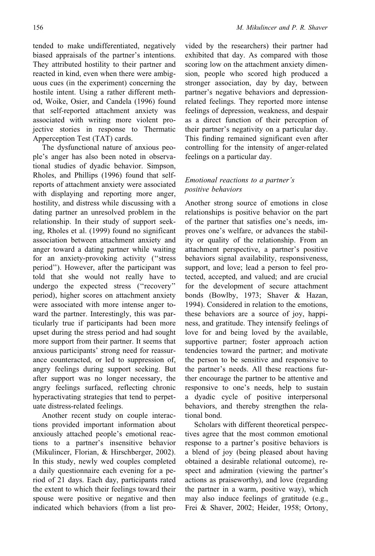tended to make undifferentiated, negatively biased appraisals of the partner's intentions. They attributed hostility to their partner and reacted in kind, even when there were ambiguous cues (in the experiment) concerning the hostile intent. Using a rather different method, Woike, Osier, and Candela (1996) found that self-reported attachment anxiety was associated with writing more violent projective stories in response to Thermatic Apperception Test (TAT) cards.

The dysfunctional nature of anxious people's anger has also been noted in observational studies of dyadic behavior. Simpson, Rholes, and Phillips (1996) found that selfreports of attachment anxiety were associated with displaying and reporting more anger, hostility, and distress while discussing with a dating partner an unresolved problem in the relationship. In their study of support seeking, Rholes et al. (1999) found no significant association between attachment anxiety and anger toward a dating partner while waiting for an anxiety-provoking activity (''stress period''). However, after the participant was told that she would not really have to undergo the expected stress (''recovery'' period), higher scores on attachment anxiety were associated with more intense anger toward the partner. Interestingly, this was particularly true if participants had been more upset during the stress period and had sought more support from their partner. It seems that anxious participants' strong need for reassurance counteracted, or led to suppression of, angry feelings during support seeking. But after support was no longer necessary, the angry feelings surfaced, reflecting chronic hyperactivating strategies that tend to perpetuate distress-related feelings.

Another recent study on couple interactions provided important information about anxiously attached people's emotional reactions to a partner's insensitive behavior (Mikulincer, Florian, & Hirschberger, 2002). In this study, newly wed couples completed a daily questionnaire each evening for a period of 21 days. Each day, participants rated the extent to which their feelings toward their spouse were positive or negative and then indicated which behaviors (from a list provided by the researchers) their partner had exhibited that day. As compared with those scoring low on the attachment anxiety dimension, people who scored high produced a stronger association, day by day, between partner's negative behaviors and depressionrelated feelings. They reported more intense feelings of depression, weakness, and despair as a direct function of their perception of their partner's negativity on a particular day. This finding remained significant even after controlling for the intensity of anger-related feelings on a particular day.

#### Emotional reactions to a partner's positive behaviors

Another strong source of emotions in close relationships is positive behavior on the part of the partner that satisfies one's needs, improves one's welfare, or advances the stability or quality of the relationship. From an attachment perspective, a partner's positive behaviors signal availability, responsiveness, support, and love; lead a person to feel protected, accepted, and valued; and are crucial for the development of secure attachment bonds (Bowlby, 1973; Shaver & Hazan, 1994). Considered in relation to the emotions, these behaviors are a source of joy, happiness, and gratitude. They intensify feelings of love for and being loved by the available, supportive partner; foster approach action tendencies toward the partner; and motivate the person to be sensitive and responsive to the partner's needs. All these reactions further encourage the partner to be attentive and responsive to one's needs, help to sustain a dyadic cycle of positive interpersonal behaviors, and thereby strengthen the relational bond.

Scholars with different theoretical perspectives agree that the most common emotional response to a partner's positive behaviors is a blend of joy (being pleased about having obtained a desirable relational outcome), respect and admiration (viewing the partner's actions as praiseworthy), and love (regarding the partner in a warm, positive way), which may also induce feelings of gratitude (e.g., Frei & Shaver, 2002; Heider, 1958; Ortony,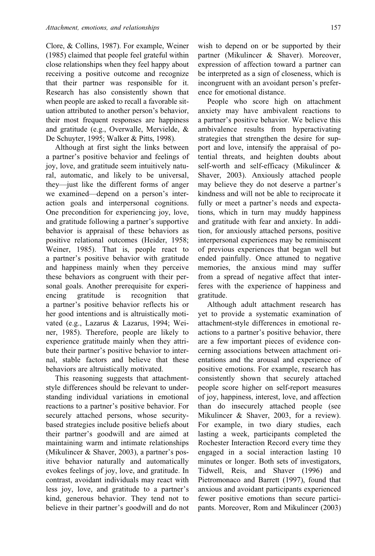Clore, & Collins, 1987). For example, Weiner (1985) claimed that people feel grateful within close relationships when they feel happy about receiving a positive outcome and recognize that their partner was responsible for it. Research has also consistently shown that when people are asked to recall a favorable situation attributed to another person's behavior, their most frequent responses are happiness and gratitude (e.g., Overwalle, Mervielde, & De Schuyter, 1995; Walker & Pitts, 1998).

Although at first sight the links between a partner's positive behavior and feelings of joy, love, and gratitude seem intuitively natural, automatic, and likely to be universal, they—just like the different forms of anger we examined—depend on a person's interaction goals and interpersonal cognitions. One precondition for experiencing joy, love, and gratitude following a partner's supportive behavior is appraisal of these behaviors as positive relational outcomes (Heider, 1958; Weiner, 1985). That is, people react to a partner's positive behavior with gratitude and happiness mainly when they perceive these behaviors as congruent with their personal goals. Another prerequisite for experiencing gratitude is recognition that a partner's positive behavior reflects his or her good intentions and is altruistically motivated (e.g., Lazarus & Lazarus, 1994; Weiner, 1985). Therefore, people are likely to experience gratitude mainly when they attribute their partner's positive behavior to internal, stable factors and believe that these behaviors are altruistically motivated.

This reasoning suggests that attachmentstyle differences should be relevant to understanding individual variations in emotional reactions to a partner's positive behavior. For securely attached persons, whose securitybased strategies include positive beliefs about their partner's goodwill and are aimed at maintaining warm and intimate relationships (Mikulincer & Shaver, 2003), a partner's positive behavior naturally and automatically evokes feelings of joy, love, and gratitude. In contrast, avoidant individuals may react with less joy, love, and gratitude to a partner's kind, generous behavior. They tend not to believe in their partner's goodwill and do not wish to depend on or be supported by their partner (Mikulincer & Shaver). Moreover, expression of affection toward a partner can be interpreted as a sign of closeness, which is incongruent with an avoidant person's preference for emotional distance.

People who score high on attachment anxiety may have ambivalent reactions to a partner's positive behavior. We believe this ambivalence results from hyperactivating strategies that strengthen the desire for support and love, intensify the appraisal of potential threats, and heighten doubts about self-worth and self-efficacy (Mikulincer & Shaver, 2003). Anxiously attached people may believe they do not deserve a partner's kindness and will not be able to reciprocate it fully or meet a partner's needs and expectations, which in turn may muddy happiness and gratitude with fear and anxiety. In addition, for anxiously attached persons, positive interpersonal experiences may be reminiscent of previous experiences that began well but ended painfully. Once attuned to negative memories, the anxious mind may suffer from a spread of negative affect that interferes with the experience of happiness and gratitude.

Although adult attachment research has yet to provide a systematic examination of attachment-style differences in emotional reactions to a partner's positive behavior, there are a few important pieces of evidence concerning associations between attachment orientations and the arousal and experience of positive emotions. For example, research has consistently shown that securely attached people score higher on self-report measures of joy, happiness, interest, love, and affection than do insecurely attached people (see Mikulincer & Shaver, 2003, for a review). For example, in two diary studies, each lasting a week, participants completed the Rochester Interaction Record every time they engaged in a social interaction lasting 10 minutes or longer. Both sets of investigators, Tidwell, Reis, and Shaver (1996) and Pietromonaco and Barrett (1997), found that anxious and avoidant participants experienced fewer positive emotions than secure participants. Moreover, Rom and Mikulincer (2003)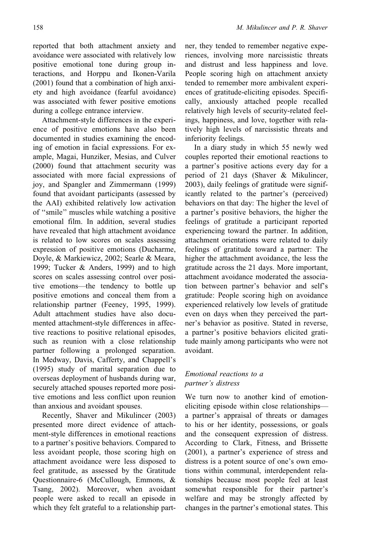reported that both attachment anxiety and avoidance were associated with relatively low positive emotional tone during group interactions, and Horppu and Ikonen-Varila (2001) found that a combination of high anxiety and high avoidance (fearful avoidance) was associated with fewer positive emotions during a college entrance interview.

Attachment-style differences in the experience of positive emotions have also been documented in studies examining the encoding of emotion in facial expressions. For example, Magai, Hunziker, Mesias, and Culver (2000) found that attachment security was associated with more facial expressions of joy, and Spangler and Zimmermann (1999) found that avoidant participants (assessed by the AAI) exhibited relatively low activation of ''smile'' muscles while watching a positive emotional film. In addition, several studies have revealed that high attachment avoidance is related to low scores on scales assessing expression of positive emotions (Ducharme, Doyle, & Markiewicz, 2002; Searle & Meara, 1999; Tucker & Anders, 1999) and to high scores on scales assessing control over positive emotions—the tendency to bottle up positive emotions and conceal them from a relationship partner (Feeney, 1995, 1999). Adult attachment studies have also documented attachment-style differences in affective reactions to positive relational episodes, such as reunion with a close relationship partner following a prolonged separation. In Medway, Davis, Cafferty, and Chappell's (1995) study of marital separation due to overseas deployment of husbands during war, securely attached spouses reported more positive emotions and less conflict upon reunion than anxious and avoidant spouses.

Recently, Shaver and Mikulincer (2003) presented more direct evidence of attachment-style differences in emotional reactions to a partner's positive behaviors. Compared to less avoidant people, those scoring high on attachment avoidance were less disposed to feel gratitude, as assessed by the Gratitude Questionnaire-6 (McCullough, Emmons, & Tsang, 2002). Moreover, when avoidant people were asked to recall an episode in which they felt grateful to a relationship partner, they tended to remember negative experiences, involving more narcissistic threats and distrust and less happiness and love. People scoring high on attachment anxiety tended to remember more ambivalent experiences of gratitude-eliciting episodes. Specifically, anxiously attached people recalled relatively high levels of security-related feelings, happiness, and love, together with relatively high levels of narcissistic threats and inferiority feelings.

In a diary study in which 55 newly wed couples reported their emotional reactions to a partner's positive actions every day for a period of 21 days (Shaver & Mikulincer, 2003), daily feelings of gratitude were significantly related to the partner's (perceived) behaviors on that day: The higher the level of a partner's positive behaviors, the higher the feelings of gratitude a participant reported experiencing toward the partner. In addition, attachment orientations were related to daily feelings of gratitude toward a partner: The higher the attachment avoidance, the less the gratitude across the 21 days. More important, attachment avoidance moderated the association between partner's behavior and self's gratitude: People scoring high on avoidance experienced relatively low levels of gratitude even on days when they perceived the partner's behavior as positive. Stated in reverse, a partner's positive behaviors elicited gratitude mainly among participants who were not avoidant.

#### Emotional reactions to a partner's distress

We turn now to another kind of emotioneliciting episode within close relationships a partner's appraisal of threats or damages to his or her identity, possessions, or goals and the consequent expression of distress. According to Clark, Fitness, and Brissette (2001), a partner's experience of stress and distress is a potent source of one's own emotions within communal, interdependent relationships because most people feel at least somewhat responsible for their partner's welfare and may be strongly affected by changes in the partner's emotional states. This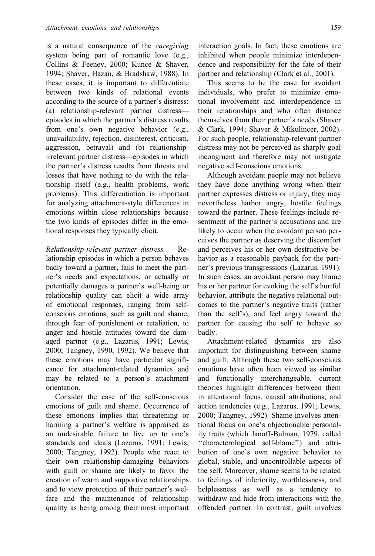is a natural consequence of the caregiving system being part of romantic love (e.g., Collins & Feeney, 2000; Kunce & Shaver, 1994; Shaver, Hazan, & Bradshaw, 1988). In these cases, it is important to differentiate between two kinds of relational events according to the source of a partner's distress: (a) relationship-relevant partner distress episodes in which the partner's distress results from one's own negative behavior (e.g., unavailability, rejection, disinterest, criticism, aggression, betrayal) and (b) relationshipirrelevant partner distress—episodes in which the partner's distress results from threats and losses that have nothing to do with the relationship itself (e.g., health problems, work problems). This differentiation is important for analyzing attachment-style differences in emotions within close relationships because the two kinds of episodes differ in the emotional responses they typically elicit.

Relationship-relevant partner distress. Relationship episodes in which a person behaves badly toward a partner, fails to meet the partner's needs and expectations, or actually or potentially damages a partner's well-being or relationship quality can elicit a wide array of emotional responses, ranging from selfconscious emotions, such as guilt and shame, through fear of punishment or retaliation, to anger and hostile attitudes toward the damaged partner (e.g., Lazarus, 1991; Lewis, 2000; Tangney, 1990, 1992). We believe that these emotions may have particular significance for attachment-related dynamics and may be related to a person's attachment orientation.

Consider the case of the self-conscious emotions of guilt and shame. Occurrence of these emotions implies that threatening or harming a partner's welfare is appraised as an undesirable failure to live up to one's standards and ideals (Lazarus, 1991; Lewis, 2000; Tangney, 1992). People who react to their own relationship-damaging behaviors with guilt or shame are likely to favor the creation of warm and supportive relationships and to view protection of their partner's welfare and the maintenance of relationship quality as being among their most important

interaction goals. In fact, these emotions are inhibited when people minimize interdependence and responsibility for the fate of their partner and relationship (Clark et al., 2001).

This seems to be the case for avoidant individuals, who prefer to minimize emotional involvement and interdependence in their relationships and who often distance themselves from their partner's needs (Shaver & Clark, 1994; Shaver & Mikulincer, 2002). For such people, relationship-relevant partner distress may not be perceived as sharply goal incongruent and therefore may not instigate negative self-conscious emotions.

Although avoidant people may not believe they have done anything wrong when their partner expresses distress or injury, they may nevertheless harbor angry, hostile feelings toward the partner. These feelings include resentment of the partner's accusations and are likely to occur when the avoidant person perceives the partner as deserving the discomfort and perceives his or her own destructive behavior as a reasonable payback for the partner's previous transgressions (Lazarus, 1991). In such cases, an avoidant person may blame his or her partner for evoking the self's hurtful behavior, attribute the negative relational outcomes to the partner's negative traits (rather than the self's), and feel angry toward the partner for causing the self to behave so badly.

Attachment-related dynamics are also important for distinguishing between shame and guilt. Although these two self-conscious emotions have often been viewed as similar and functionally interchangeable, current theories highlight differences between them in attentional focus, causal attributions, and action tendencies (e.g., Lazarus, 1991; Lewis, 2000; Tangney, 1992). Shame involves attentional focus on one's objectionable personality traits (which Janoff-Bulman, 1979, called ''characterological self-blame'') and attribution of one's own negative behavior to global, stable, and uncontrollable aspects of the self. Moreover, shame seems to be related to feelings of inferiority, worthlessness, and helplessness as well as a tendency to withdraw and hide from interactions with the offended partner. In contrast, guilt involves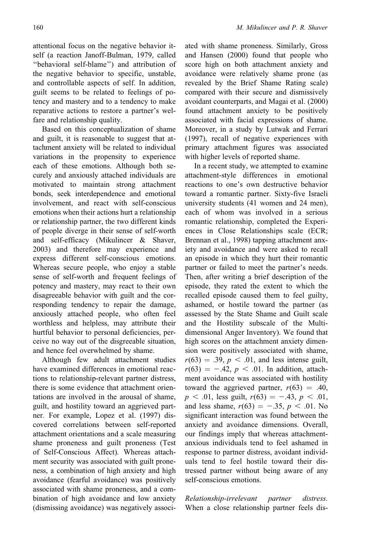attentional focus on the negative behavior itself (a reaction Janoff-Bulman, 1979, called ''behavioral self-blame'') and attribution of the negative behavior to specific, unstable, and controllable aspects of self. In addition, guilt seems to be related to feelings of potency and mastery and to a tendency to make reparative actions to restore a partner's welfare and relationship quality.

Based on this conceptualization of shame and guilt, it is reasonable to suggest that attachment anxiety will be related to individual variations in the propensity to experience each of these emotions. Although both securely and anxiously attached individuals are motivated to maintain strong attachment bonds, seek interdependence and emotional involvement, and react with self-conscious emotions when their actions hurt a relationship or relationship partner, the two different kinds of people diverge in their sense of self-worth and self-efficacy (Mikulincer & Shaver, 2003) and therefore may experience and express different self-conscious emotions. Whereas secure people, who enjoy a stable sense of self-worth and frequent feelings of potency and mastery, may react to their own disagreeable behavior with guilt and the corresponding tendency to repair the damage, anxiously attached people, who often feel worthless and helpless, may attribute their hurtful behavior to personal deficiencies, perceive no way out of the disgreeable situation, and hence feel overwhelmed by shame.

Although few adult attachment studies have examined differences in emotional reactions to relationship-relevant partner distress, there is some evidence that attachment orientations are involved in the arousal of shame, guilt, and hostility toward an aggrieved partner. For example, Lopez et al. (1997) discovered correlations between self-reported attachment orientations and a scale measuring shame proneness and guilt proneness (Test of Self-Conscious Affect). Whereas attachment security was associated with guilt proneness, a combination of high anxiety and high avoidance (fearful avoidance) was positively associated with shame proneness, and a combination of high avoidance and low anxiety (dismissing avoidance) was negatively associated with shame proneness. Similarly, Gross and Hansen (2000) found that people who score high on both attachment anxiety and avoidance were relatively shame prone (as revealed by the Brief Shame Rating scale) compared with their secure and dismissively avoidant counterparts, and Magai et al. (2000) found attachment anxiety to be positively associated with facial expressions of shame. Moreover, in a study by Lutwak and Ferrari (1997), recall of negative experiences with primary attachment figures was associated with higher levels of reported shame.

In a recent study, we attempted to examine attachment-style differences in emotional reactions to one's own destructive behavior toward a romantic partner. Sixty-five Israeli university students (41 women and 24 men), each of whom was involved in a serious romantic relationship, completed the Experiences in Close Relationships scale (ECR; Brennan et al., 1998) tapping attachment anxiety and avoidance and were asked to recall an episode in which they hurt their romantic partner or failed to meet the partner's needs. Then, after writing a brief description of the episode, they rated the extent to which the recalled episode caused them to feel guilty, ashamed, or hostile toward the partner (as assessed by the State Shame and Guilt scale and the Hostility subscale of the Multidimensional Anger Inventory). We found that high scores on the attachment anxiety dimension were positively associated with shame,  $r(63) = .39$ ,  $p < .01$ , and less intense guilt,  $r(63) = -.42, p < .01$ . In addition, attachment avoidance was associated with hostility toward the aggrieved partner,  $r(63) = .40$ ,  $p < .01$ , less guilt,  $r(63) = -.43$ ,  $p < .01$ , and less shame,  $r(63) = -.35, p < .01$ . No significant interaction was found between the anxiety and avoidance dimensions. Overall, our findings imply that whereas attachmentanxious individuals tend to feel ashamed in response to partner distress, avoidant individuals tend to feel hostile toward their distressed partner without being aware of any self-conscious emotions.

Relationship-irrelevant partner distress. When a close relationship partner feels dis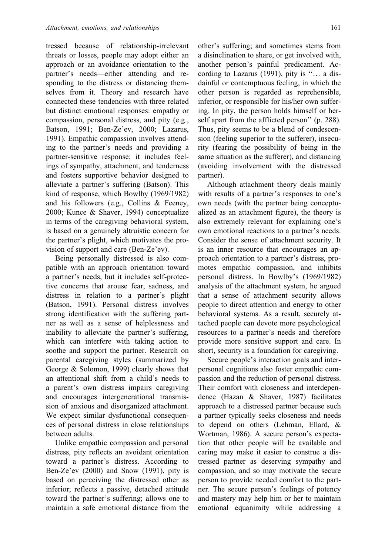tressed because of relationship-irrelevant threats or losses, people may adopt either an approach or an avoidance orientation to the partner's needs—either attending and responding to the distress or distancing themselves from it. Theory and research have connected these tendencies with three related but distinct emotional responses: empathy or compassion, personal distress, and pity (e.g., Batson, 1991; Ben-Ze'ev, 2000; Lazarus, 1991). Empathic compassion involves attending to the partner's needs and providing a partner-sensitive response; it includes feelings of sympathy, attachment, and tenderness and fosters supportive behavior designed to alleviate a partner's suffering (Batson). This kind of response, which Bowlby (1969/1982) and his followers (e.g., Collins & Feeney, 2000; Kunce & Shaver, 1994) conceptualize in terms of the caregiving behavioral system, is based on a genuinely altruistic concern for the partner's plight, which motivates the provision of support and care (Ben-Ze'ev).

Being personally distressed is also compatible with an approach orientation toward a partner's needs, but it includes self-protective concerns that arouse fear, sadness, and distress in relation to a partner's plight (Batson, 1991). Personal distress involves strong identification with the suffering partner as well as a sense of helplessness and inability to alleviate the partner's suffering, which can interfere with taking action to soothe and support the partner. Research on parental caregiving styles (summarized by George & Solomon, 1999) clearly shows that an attentional shift from a child's needs to a parent's own distress impairs caregiving and encourages intergenerational transmission of anxious and disorganized attachment. We expect similar dysfunctional consequences of personal distress in close relationships between adults.

Unlike empathic compassion and personal distress, pity reflects an avoidant orientation toward a partner's distress. According to Ben-Ze'ev (2000) and Snow (1991), pity is based on perceiving the distressed other as inferior; reflects a passive, detached attitude toward the partner's suffering; allows one to maintain a safe emotional distance from the

other's suffering; and sometimes stems from a disinclination to share, or get involved with, another person's painful predicament. According to Lazarus (1991), pity is "... a disdainful or contemptuous feeling, in which the other person is regarded as reprehensible, inferior, or responsible for his/her own suffering. In pity, the person holds himself or herself apart from the afflicted person'' (p. 288). Thus, pity seems to be a blend of condescension (feeling superior to the sufferer), insecurity (fearing the possibility of being in the same situation as the sufferer), and distancing (avoiding involvement with the distressed partner).

Although attachment theory deals mainly with results of a partner's responses to one's own needs (with the partner being conceptualized as an attachment figure), the theory is also extremely relevant for explaining one's own emotional reactions to a partner's needs. Consider the sense of attachment security. It is an inner resource that encourages an approach orientation to a partner's distress, promotes empathic compassion, and inhibits personal distress. In Bowlby's (1969/1982) analysis of the attachment system, he argued that a sense of attachment security allows people to direct attention and energy to other behavioral systems. As a result, securely attached people can devote more psychological resources to a partner's needs and therefore provide more sensitive support and care. In short, security is a foundation for caregiving.

Secure people's interaction goals and interpersonal cognitions also foster empathic compassion and the reduction of personal distress. Their comfort with closeness and interdependence (Hazan & Shaver, 1987) facilitates approach to a distressed partner because such a partner typically seeks closeness and needs to depend on others (Lehman, Ellard, & Wortman, 1986). A secure person's expectation that other people will be available and caring may make it easier to construe a distressed partner as deserving sympathy and compassion, and so may motivate the secure person to provide needed comfort to the partner. The secure person's feelings of potency and mastery may help him or her to maintain emotional equanimity while addressing a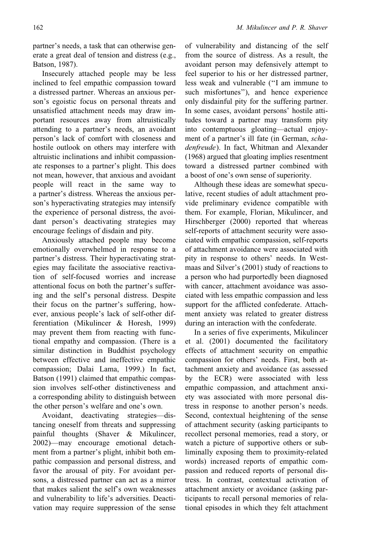partner's needs, a task that can otherwise generate a great deal of tension and distress (e.g., Batson, 1987).

Insecurely attached people may be less inclined to feel empathic compassion toward a distressed partner. Whereas an anxious person's egoistic focus on personal threats and unsatisfied attachment needs may draw important resources away from altruistically attending to a partner's needs, an avoidant person's lack of comfort with closeness and hostile outlook on others may interfere with altruistic inclinations and inhibit compassionate responses to a partner's plight. This does not mean, however, that anxious and avoidant people will react in the same way to a partner's distress. Whereas the anxious person's hyperactivating strategies may intensify the experience of personal distress, the avoidant person's deactivating strategies may encourage feelings of disdain and pity.

Anxiously attached people may become emotionally overwhelmed in response to a partner's distress. Their hyperactivating strategies may facilitate the associative reactivation of self-focused worries and increase attentional focus on both the partner's suffering and the self's personal distress. Despite their focus on the partner's suffering, however, anxious people's lack of self-other differentiation (Mikulincer & Horesh, 1999) may prevent them from reacting with functional empathy and compassion. (There is a similar distinction in Buddhist psychology between effective and ineffective empathic compassion; Dalai Lama, 1999.) In fact, Batson (1991) claimed that empathic compassion involves self-other distinctiveness and a corresponding ability to distinguish between the other person's welfare and one's own.

Avoidant, deactivating strategies—distancing oneself from threats and suppressing painful thoughts (Shaver & Mikulincer, 2002)—may encourage emotional detachment from a partner's plight, inhibit both empathic compassion and personal distress, and favor the arousal of pity. For avoidant persons, a distressed partner can act as a mirror that makes salient the self's own weaknesses and vulnerability to life's adversities. Deactivation may require suppression of the sense of vulnerability and distancing of the self from the source of distress. As a result, the avoidant person may defensively attempt to feel superior to his or her distressed partner, less weak and vulnerable (''I am immune to such misfortunes''), and hence experience only disdainful pity for the suffering partner. In some cases, avoidant persons' hostile attitudes toward a partner may transform pity into contemptuous gloating—actual enjoyment of a partner's ill fate (in German, schadenfreude). In fact, Whitman and Alexander (1968) argued that gloating implies resentment toward a distressed partner combined with a boost of one's own sense of superiority.

Although these ideas are somewhat speculative, recent studies of adult attachment provide preliminary evidence compatible with them. For example, Florian, Mikulincer, and Hirschberger (2000) reported that whereas self-reports of attachment security were associated with empathic compassion, self-reports of attachment avoidance were associated with pity in response to others' needs. In Westmaas and Silver's (2001) study of reactions to a person who had purportedly been diagnosed with cancer, attachment avoidance was associated with less empathic compassion and less support for the afflicted confederate. Attachment anxiety was related to greater distress during an interaction with the confederate.

In a series of five experiments, Mikulincer et al. (2001) documented the facilitatory effects of attachment security on empathic compassion for others' needs. First, both attachment anxiety and avoidance (as assessed by the ECR) were associated with less empathic compassion, and attachment anxiety was associated with more personal distress in response to another person's needs. Second, contextual heightening of the sense of attachment security (asking participants to recollect personal memories, read a story, or watch a picture of supportive others or subliminally exposing them to proximity-related words) increased reports of empathic compassion and reduced reports of personal distress. In contrast, contextual activation of attachment anxiety or avoidance (asking participants to recall personal memories of relational episodes in which they felt attachment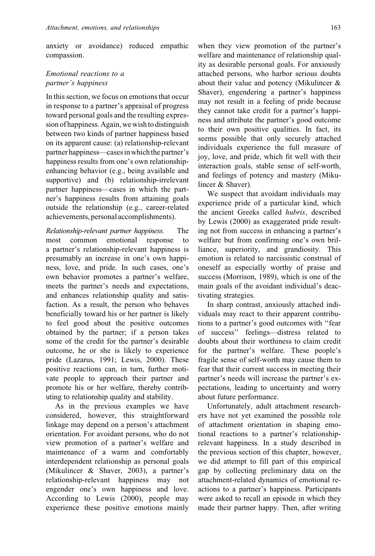anxiety or avoidance) reduced empathic compassion.

### Emotional reactions to a partner's happiness

In this section, we focus on emotions that occur in response to a partner's appraisal of progress toward personal goals and the resulting expression of happiness. Again, we wishto distinguish between two kinds of partner happiness based on its apparent cause: (a) relationship-relevant partner happiness—casesin whichthe partner's happiness results from one's own relationshipenhancing behavior (e.g., being available and supportive) and (b) relationship-irrelevant partner happiness—cases in which the partner's happiness results from attaining goals outside the relationship (e.g., career-related achievements, personal accomplishments).

Relationship-relevant partner happiness. The most common emotional response to a partner's relationship-relevant happiness is presumably an increase in one's own happiness, love, and pride. In such cases, one's own behavior promotes a partner's welfare, meets the partner's needs and expectations, and enhances relationship quality and satisfaction. As a result, the person who behaves beneficially toward his or her partner is likely to feel good about the positive outcomes obtained by the partner; if a person takes some of the credit for the partner's desirable outcome, he or she is likely to experience pride (Lazarus, 1991; Lewis, 2000). These positive reactions can, in turn, further motivate people to approach their partner and promote his or her welfare, thereby contributing to relationship quality and stability.

As in the previous examples we have considered, however, this straightforward linkage may depend on a person's attachment orientation. For avoidant persons, who do not view promotion of a partner's welfare and maintenance of a warm and comfortably interdependent relationship as personal goals (Mikulincer & Shaver, 2003), a partner's relationship-relevant happiness may not engender one's own happiness and love. According to Lewis (2000), people may experience these positive emotions mainly

when they view promotion of the partner's welfare and maintenance of relationship quality as desirable personal goals. For anxiously attached persons, who harbor serious doubts about their value and potency (Mikulincer & Shaver), engendering a partner's happiness may not result in a feeling of pride because they cannot take credit for a partner's happiness and attribute the partner's good outcome to their own positive qualities. In fact, its seems possible that only securely attached individuals experience the full measure of joy, love, and pride, which fit well with their interaction goals, stable sense of self-worth, and feelings of potency and mastery (Mikulincer & Shaver).

We suspect that avoidant individuals may experience pride of a particular kind, which the ancient Greeks called hubris, described by Lewis (2000) as exaggerated pride resulting not from success in enhancing a partner's welfare but from confirming one's own brilliance, superiority, and grandiosity. This emotion is related to narcissistic construal of oneself as especially worthy of praise and success (Morrison, 1989), which is one of the main goals of the avoidant individual's deactivating strategies.

In sharp contrast, anxiously attached individuals may react to their apparent contributions to a partner's good outcomes with ''fear of success'' feelings—distress related to doubts about their worthiness to claim credit for the partner's welfare. These people's fragile sense of self-worth may cause them to fear that their current success in meeting their partner's needs will increase the partner's expectations, leading to uncertainty and worry about future performance.

Unfortunately, adult attachment researchers have not yet examined the possible role of attachment orientation in shaping emotional reactions to a partner's relationshiprelevant happiness. In a study described in the previous section of this chapter, however, we did attempt to fill part of this empirical gap by collecting preliminary data on the attachment-related dynamics of emotional reactions to a partner's happiness. Participants were asked to recall an episode in which they made their partner happy. Then, after writing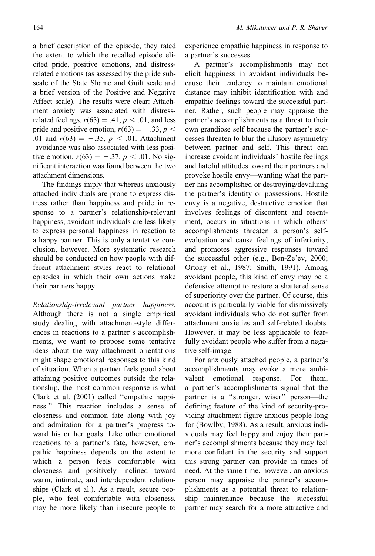a brief description of the episode, they rated the extent to which the recalled episode elicited pride, positive emotions, and distressrelated emotions (as assessed by the pride subscale of the State Shame and Guilt scale and a brief version of the Positive and Negative Affect scale). The results were clear: Attachment anxiety was associated with distressrelated feelings,  $r(63) = .41$ ,  $p < .01$ , and less pride and positive emotion,  $r(63) = -.33$ ,  $p <$ .01 and  $r(63) = -.35$ ,  $p < .01$ . Attachment avoidance was also associated with less positive emotion,  $r(63) = -.37$ ,  $p < .01$ . No significant interaction was found between the two attachment dimensions.

The findings imply that whereas anxiously attached individuals are prone to express distress rather than happiness and pride in response to a partner's relationship-relevant happiness, avoidant individuals are less likely to express personal happiness in reaction to a happy partner. This is only a tentative conclusion, however. More systematic research should be conducted on how people with different attachment styles react to relational episodes in which their own actions make their partners happy.

Relationship-irrelevant partner happiness. Although there is not a single empirical study dealing with attachment-style differences in reactions to a partner's accomplishments, we want to propose some tentative ideas about the way attachment orientations might shape emotional responses to this kind of situation. When a partner feels good about attaining positive outcomes outside the relationship, the most common response is what Clark et al. (2001) called ''empathic happiness.'' This reaction includes a sense of closeness and common fate along with joy and admiration for a partner's progress toward his or her goals. Like other emotional reactions to a partner's fate, however, empathic happiness depends on the extent to which a person feels comfortable with closeness and positively inclined toward warm, intimate, and interdependent relationships (Clark et al.). As a result, secure people, who feel comfortable with closeness, may be more likely than insecure people to

experience empathic happiness in response to a partner's successes.

A partner's accomplishments may not elicit happiness in avoidant individuals because their tendency to maintain emotional distance may inhibit identification with and empathic feelings toward the successful partner. Rather, such people may appraise the partner's accomplishments as a threat to their own grandiose self because the partner's successes threaten to blur the illusory asymmetry between partner and self. This threat can increase avoidant individuals' hostile feelings and hateful attitudes toward their partners and provoke hostile envy—wanting what the partner has accomplished or destroying/devaluing the partner's identity or possessions. Hostile envy is a negative, destructive emotion that involves feelings of discontent and resentment, occurs in situations in which others' accomplishments threaten a person's selfevaluation and cause feelings of inferiority, and promotes aggressive responses toward the successful other (e.g., Ben-Ze'ev, 2000; Ortony et al., 1987; Smith, 1991). Among avoidant people, this kind of envy may be a defensive attempt to restore a shattered sense of superiority over the partner. Of course, this account is particularly viable for dismissively avoidant individuals who do not suffer from attachment anxieties and self-related doubts. However, it may be less applicable to fearfully avoidant people who suffer from a negative self-image.

For anxiously attached people, a partner's accomplishments may evoke a more ambivalent emotional response. For them, a partner's accomplishments signal that the partner is a ''stronger, wiser'' person—the defining feature of the kind of security-providing attachment figure anxious people long for (Bowlby, 1988). As a result, anxious individuals may feel happy and enjoy their partner's accomplishments because they may feel more confident in the security and support this strong partner can provide in times of need. At the same time, however, an anxious person may appraise the partner's accomplishments as a potential threat to relationship maintenance because the successful partner may search for a more attractive and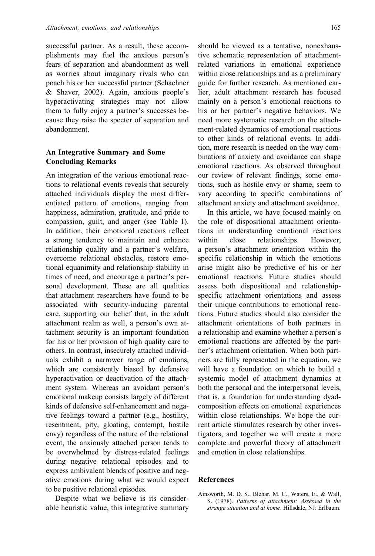successful partner. As a result, these accomplishments may fuel the anxious person's fears of separation and abandonment as well as worries about imaginary rivals who can poach his or her successful partner (Schachner & Shaver, 2002). Again, anxious people's hyperactivating strategies may not allow them to fully enjoy a partner's successes because they raise the specter of separation and abandonment.

# An Integrative Summary and Some Concluding Remarks

An integration of the various emotional reactions to relational events reveals that securely attached individuals display the most differentiated pattern of emotions, ranging from happiness, admiration, gratitude, and pride to compassion, guilt, and anger (see Table 1). In addition, their emotional reactions reflect a strong tendency to maintain and enhance relationship quality and a partner's welfare, overcome relational obstacles, restore emotional equanimity and relationship stability in times of need, and encourage a partner's personal development. These are all qualities that attachment researchers have found to be associated with security-inducing parental care, supporting our belief that, in the adult attachment realm as well, a person's own attachment security is an important foundation for his or her provision of high quality care to others. In contrast, insecurely attached individuals exhibit a narrower range of emotions, which are consistently biased by defensive hyperactivation or deactivation of the attachment system. Whereas an avoidant person's emotional makeup consists largely of different kinds of defensive self-enhancement and negative feelings toward a partner (e.g., hostility, resentment, pity, gloating, contempt, hostile envy) regardless of the nature of the relational event, the anxiously attached person tends to be overwhelmed by distress-related feelings during negative relational episodes and to express ambivalent blends of positive and negative emotions during what we would expect to be positive relational episodes.

Despite what we believe is its considerable heuristic value, this integrative summary should be viewed as a tentative, nonexhaustive schematic representation of attachmentrelated variations in emotional experience within close relationships and as a preliminary guide for further research. As mentioned earlier, adult attachment research has focused mainly on a person's emotional reactions to his or her partner's negative behaviors. We need more systematic research on the attachment-related dynamics of emotional reactions to other kinds of relational events. In addi-

tion, more research is needed on the way combinations of anxiety and avoidance can shape emotional reactions. As observed throughout our review of relevant findings, some emotions, such as hostile envy or shame, seem to vary according to specific combinations of

attachment anxiety and attachment avoidance. In this article, we have focused mainly on the role of dispositional attachment orientations in understanding emotional reactions within close relationships. However, a person's attachment orientation within the specific relationship in which the emotions arise might also be predictive of his or her emotional reactions. Future studies should assess both dispositional and relationshipspecific attachment orientations and assess their unique contributions to emotional reactions. Future studies should also consider the attachment orientations of both partners in a relationship and examine whether a person's emotional reactions are affected by the partner's attachment orientation. When both partners are fully represented in the equation, we will have a foundation on which to build a systemic model of attachment dynamics at both the personal and the interpersonal levels, that is, a foundation for understanding dyadcomposition effects on emotional experiences within close relationships. We hope the current article stimulates research by other investigators, and together we will create a more complete and powerful theory of attachment and emotion in close relationships.

#### References

Ainsworth, M. D. S., Blehar, M. C., Waters, E., & Wall, S. (1978). Patterns of attachment: Assessed in the strange situation and at home. Hillsdale, NJ: Erlbaum.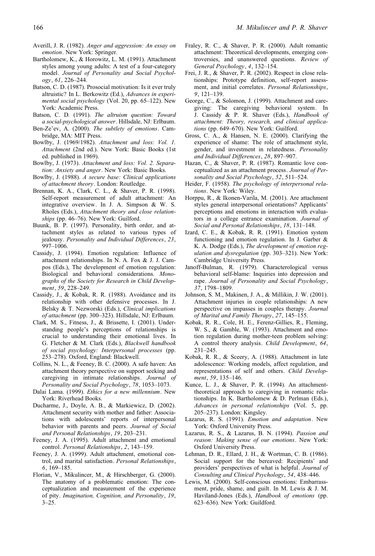- Averill, J. R. (1982). Anger and aggression: An essay on emotion. New York: Springer.
- Bartholomew, K., & Horowitz, L. M. (1991). Attachment styles among young adults: A test of a four-category model. Journal of Personality and Social Psychology, 61, 226–244.
- Batson, C. D. (1987). Prosocial motivation: Is it ever truly altruistic? In L. Berkowitz (Ed.), Advances in experimental social psychology (Vol. 20, pp. 65–122). New York: Academic Press.
- Batson, C. D. (1991). The altruism question: Toward a social-psychological answer. Hillsdale, NJ: Erlbaum.
- Ben-Ze'ev, A. (2000). The subtlety of emotions. Cambridge, MA: MIT Press.
- Bowlby, J. (1969/1982). Attachment and loss: Vol. 1. Attachment (2nd ed.). New York: Basic Books (1st ed. published in 1969).
- Bowlby, J. (1973). Attachment and loss: Vol. 2. Separation: Anxiety and anger. New York: Basic Books.
- Bowlby, J. (1988). A secure base: Clinical applications of attachment theory. London: Routledge.
- Brennan, K. A., Clark, C. L., & Shaver, P. R. (1998). Self-report measurement of adult attachment: An integrative overview. In J. A. Simpson & W. S. Rholes (Eds.), Attachment theory and close relationships (pp. 46–76). New York: Guilford.
- Buunk, B. P. (1997). Personality, birth order, and attachment styles as related to various types of jealousy. Personality and Individual Differences, 23, 997–1006.
- Cassidy, J. (1994). Emotion regulation: Influence of attachment relationships. In N. A. Fox & J. J. Campos (Eds.), The development of emotion regulation: Biological and behavioral considerations. Monographs of the Society for Research in Child Development, 59, 228–249.
- Cassidy, J., & Kobak, R. R. (1988). Avoidance and its relationship with other defensive processes. In J. Belsky & T. Nezworski (Eds.), Clinical implications of attachment (pp. 300–323). Hillsdale, NJ: Erlbaum.
- Clark, M. S., Fitness, J., & Brissette, I. (2001). Understanding people's perceptions of relationships is crucial to understanding their emotional lives. In G. Fletcher & M. Clark (Eds.), Blackwell handbook of social psychology: Interpersonal processes (pp. 253–278). Oxford, England: Blackwell.
- Collins, N. L., & Feeney, B. C. (2000). A safe haven: An attachment theory perspective on support seeking and caregiving in intimate relationships. Journal of Personality and Social Psychology, 78, 1053–1073.
- Dalai Lama. (1999). Ethics for a new millennium. New York: Riverhead Books.
- Ducharme, J., Doyle, A. B., & Markiewicz, D. (2002). Attachment security with mother and father: Associations with adolescents' reports of interpersonal behavior with parents and peers. Journal of Social and Personal Relationships, 19, 203–231.
- Feeney, J. A. (1995). Adult attachment and emotional control. Personal Relationships, 2, 143–159.
- Feeney, J. A. (1999). Adult attachment, emotional control, and marital satisfaction. Personal Relationships, 6, 169–185.
- Florian, V., Mikulincer, M., & Hirschberger, G. (2000). The anatomy of a problematic emotion: The conceptualization and measurement of the experience of pity. Imagination, Cognition, and Personality, 19, 3–25.
- Fraley, R. C., & Shaver, P. R. (2000). Adult romantic attachment: Theoretical developments, emerging controversies, and unanswered questions. Review of General Psychology, 4, 132–154.
- Frei, J. R., & Shaver, P. R. (2002). Respect in close relationships: Prototype definition, self-report assessment, and initial correlates. Personal Relationships, 9, 121–139.
- George, C., & Solomon, J. (1999). Attachment and caregiving: The caregiving behavioral system. In J. Cassidy & P. R. Shaver (Eds.), Handbook of attachment: Theory, research, and clinical applications (pp. 649–670). New York: Guilford.
- Gross, C. A., & Hansen, N. E. (2000). Clarifying the experience of shame: The role of attachment style, gender, and investment in relatedness. Personality and Individual Differences, 28, 897–907.
- Hazan, C., & Shaver, P. R. (1987). Romantic love conceptualized as an attachment process. Journal of Personality and Social Psychology, 52, 511–524.
- Heider, F. (1958). The psychology of interpersonal relations. New York: Wiley.
- Horppu, R., & Ikonen-Varila, M. (2001). Are attachment styles general interpersonal orientations? Applicants' perceptions and emotions in interaction with evaluators in a college entrance examination. Journal of Social and Personal Relationships, 18, 131–148.
- Izard, C. E., & Kobak, R. R. (1991). Emotion system functioning and emotion regulation. In J. Garber & K. A. Dodge (Eds.), The development of emotion regulation and dysregulation (pp. 303–321). New York: Cambridge University Press.
- Janoff-Bulman, R. (1979). Characterological versus behavioral self-blame: Inquiries into depression and rape. Journal of Personality and Social Psychology, 37, 1798–1809.
- Johnson, S. M., Makinen, J. A., & Millikin, J. W. (2001). Attachment injuries in couple relationships: A new perspective on impasses in couples therapy. Journal of Marital and Family Therapy, 27, 145–155.
- Kobak, R. R., Cole, H. E., Ferenz-Gillies, R., Fleming, W. S., & Gamble, W. (1993). Attachment and emotion regulation during mother-teen problem solving: A control theory analysis. Child Development, 64, 231–245.
- Kobak, R. R., & Sceery, A. (1988). Attachment in late adolescence: Working models, affect regulation, and representations of self and others. Child Development, 59, 135–146.
- Kunce, L. J., & Shaver, P. R. (1994). An attachmenttheoretical approach to caregiving in romantic relationships. In K. Bartholomew & D. Perlman (Eds.), Advances in personal relationships (Vol. 5, pp. 205–237). London: Kingsley.
- Lazarus, R. S. (1991). Emotion and adaptation. New York: Oxford University Press.
- Lazarus, R. S., & Lazarus, B. N. (1994). Passion and reason: Making sense of our emotions. New York: Oxford University Press.
- Lehman, D. R., Ellard, J. H., & Wortman, C. B. (1986). Social support for the bereaved: Recipients' and providers' perspectives of what is helpful. Journal of Consulting and Clinical Psychology, 54, 438–446.
- Lewis, M. (2000). Self-conscious emotions: Embarrassment, pride, shame, and guilt. In M. Lewis & J. M. Haviland-Jones (Eds.), Handbook of emotions (pp. 623–636). New York: Guildford.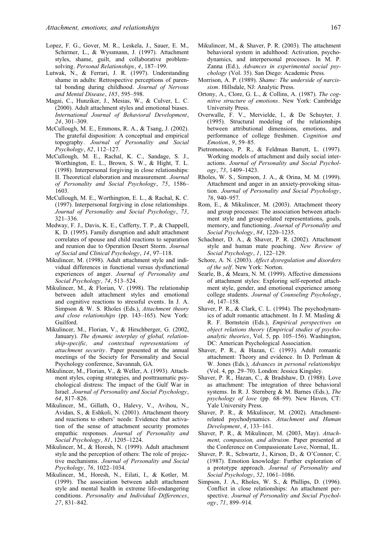- Lopez, F. G., Gover, M. R., Leskela, J., Sauer, E. M., Schirmer, L., & Wyssmann, J. (1997). Attachment styles, shame, guilt, and collaborative problemsolving. Personal Relationships, 4, 187–199.
- Lutwak, N., & Ferrari, J. R. (1997). Understanding shame in adults: Retrospective perceptions of parental bonding during childhood. Journal of Nervous and Mental Disease, 185, 595–598.
- Magai, C., Hunziker, J., Mesias, W., & Culver, L. C. (2000). Adult attachment styles and emotional biases. International Journal of Behavioral Development, 24, 301–309.
- McCullough, M. E., Emmons, R. A., & Tsang, J. (2002). The grateful disposition: A conceptual and empirical topography. Journal of Personality and Social Psychology, 82, 112–127.
- McCullough, M. E., Rachal, K. C., Sandage, S. J., Worthington, E. L., Brown, S. W., & Hight, T. L. (1998). Interpersonal forgiving in close relationships: II. Theoretical elaboration and measurement. Journal of Personality and Social Psychology, 75, 1586– 1603.
- McCullough, M. E., Worthington, E. L., & Rachal, K. C. (1997). Interpersonal forgiving in close relationships. Journal of Personality and Social Psychology, 73, 321–336.
- Medway, F. J., Davis, K. E., Cafferty, T. P., & Chappell, K. D. (1995). Family disruption and adult attachment correlates of spouse and child reactions to separation and reunion due to Operation Desert Storm. Journal of Social and Clinical Psychology, 14, 97–118.
- Mikulincer, M. (1998). Adult attachment style and individual differences in functional versus dysfunctional experiences of anger. Journal of Personality and Social Psychology, 74, 513–524.
- Mikulincer, M., & Florian, V. (1998). The relationship between adult attachment styles and emotional and cognitive reactions to stressful events. In J. A. Simpson & W. S. Rholes (Eds.), Attachment theory and close relationships (pp. 143–165). New York: Guilford.
- Mikulincer, M., Florian, V., & Hirschberger, G. (2002, January). The dynamic interplay of global, relationship-specific, and contextual representations of attachment security. Paper presented at the annual meetings of the Society for Personality and Social Psychology conference, Savannah, GA.
- Mikulincer, M., Florian, V., & Weller, A. (1993). Attachment styles, coping strategies, and posttraumatic psychological distress: The impact of the Gulf War in Israel. Journal of Personality and Social Psychology, 64, 817–826.
- Mikulincer, M., Gillath, O., Halevy, V., Avihou, N., Avidan, S., & Eshkoli, N. (2001). Attachment theory and reactions to others' needs: Evidence that activation of the sense of attachment security promotes empathic responses. Journal of Personality and Social Psychology, 81, 1205-1224.
- Mikulincer, M., & Horesh, N. (1999). Adult attachment style and the perception of others: The role of projective mechanisms. Journal of Personality and Social Psychology, 76, 1022–1034.
- Mikulincer, M., Horesh, N., Eilati, I., & Kotler, M. (1999). The association between adult attachment style and mental health in extreme life-endangering conditions. Personality and Individual Differences, 27, 831–842.
- Mikulincer, M., & Shaver, P. R. (2003). The attachment behavioral system in adulthood: Activation, psychodynamics, and interpersonal processes. In M. P. Zanna (Ed.), Advances in experimental social psychology (Vol. 35). San Diego: Academic Press.
- Morrison, A. P. (1989). Shame: The underside of narcissism. Hillsdale, NJ: Analytic Press.
- Ortony, A., Clore, G. L., & Collins, A. (1987). The cognitive structure of emotions. New York: Cambridge University Press.
- Overwalle, F. V., Mervielde, I., & De Schuyter, J. (1995). Structural modeling of the relationships between attributional dimensions, emotions, and performance of college freshmen. Cognition and Emotion, 9, 59–85.
- Pietromonaco, P. R., & Feldman Barrett, L. (1997). Working models of attachment and daily social interactions. Journal of Personality and Social Psychology, 73, 1409–1423.
- Rholes, W. S., Simpson, J. A., & Orina, M. M. (1999). Attachment and anger in an anxiety-provoking situation. Journal of Personality and Social Psychology, 76, 940–957.
- Rom, E., & Mikulincer, M. (2003). Attachment theory and group processes: The association between attachment style and group-related representations, goals, memory, and functioning. Journal of Personality and Social Psychology, 84, 1220–1235.
- Schachner, D. A., & Shaver, P. R. (2002). Attachment style and human mate poaching. New Review of Social Psychology, 1, 122–129.
- Schore, A. N. (2003). Affect dysregulation and disorders of the self. New York: Norton.
- Searle, B., & Meara, N. M. (1999). Affective dimensions of attachment styles: Exploring self-reported attachment style, gender, and emotional experience among college students. Journal of Counseling Psychology, 46, 147–158.
- Shaver, P. R., & Clark, C. L. (1994). The psychodynamics of adult romantic attachment. In J. M. Masling & R. F. Bornstein (Eds.), Empirical perspectives on object relations theory (Empirical studies of psychoanalytic theories, Vol. 5, pp. 105–156). Washington, DC: American Psychological Association.
- Shaver, P. R., & Hazan, C. (1993). Adult romantic attachment: Theory and evidence. In D. Perlman & W. Jones (Eds.), Advances in personal relationships (Vol. 4, pp. 29–70). London: Jessica Kingsley.
- Shaver, P. R., Hazan, C., & Bradshaw, D. (1988). Love as attachment: The integration of three behavioral systems. In R. J. Sternberg & M. Barnes (Eds.), The psychology of love (pp. 68–99). New Haven, CT: Yale University Press.
- Shaver, P. R., & Mikulincer, M. (2002). Attachmentrelated psychodynamics. Attachment and Human Development, 4, 133–161.
- Shaver, P. R., & Mikulincer, M. (2003, May). Attachment, compassion, and altruism. Paper presented at the Conference on Compassionate Love, Normal, IL.
- Shaver, P. R., Schwartz, J., Kirson, D., & O'Connor, C. (1987). Emotion knowledge: Further exploration of a prototype approach. Journal of Personality and Social Psychology, 52, 1061–1086.
- Simpson, J. A., Rholes, W. S., & Phillips, D. (1996). Conflict in close relationships: An attachment perspective. Journal of Personality and Social Psychology, 71, 899–914.